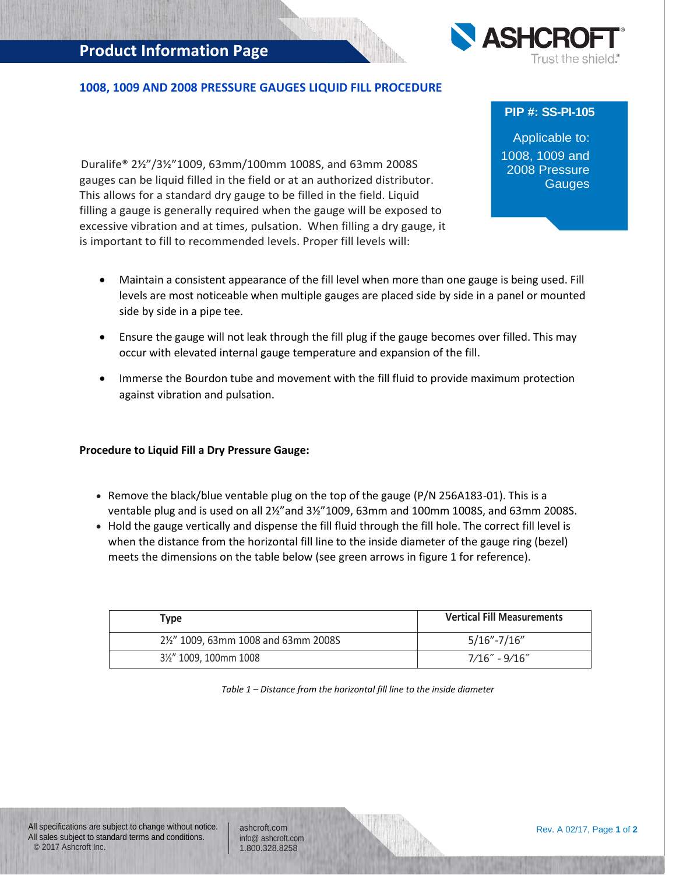## **Product Information Page**



## **1008, 1009 AND 2008 PRESSURE GAUGES LIQUID FILL PROCEDURE**

 Duralife® 2½"/3½"1009, 63mm/100mm 1008S, and 63mm 2008S gauges can be liquid filled in the field or at an authorized distributor. This allows for a standard dry gauge to be filled in the field. Liquid filling a gauge is generally required when the gauge will be exposed to excessive vibration and at times, pulsation. When filling a dry gauge, it is important to fill to recommended levels. Proper fill levels will:

**PIP #: SS-PI-105**

Applicable to: 1008, 1009 and 2008 Pressure **Gauges** 

- Maintain a consistent appearance of the fill level when more than one gauge is being used. Fill levels are most noticeable when multiple gauges are placed side by side in a panel or mounted side by side in a pipe tee.
- Ensure the gauge will not leak through the fill plug if the gauge becomes over filled. This may occur with elevated internal gauge temperature and expansion of the fill.
- Immerse the Bourdon tube and movement with the fill fluid to provide maximum protection against vibration and pulsation.

## **Procedure to Liquid Fill a Dry Pressure Gauge:**

- **Remove the black/blue ventable plug on the top of the gauge (P/N 256A183-01). This is a** ventable plug and is used on all 2½"and 3½"1009, 63mm and 100mm 1008S, and 63mm 2008S.
- Hold the gauge vertically and dispense the fill fluid through the fill hole. The correct fill level is when the distance from the horizontal fill line to the inside diameter of the gauge ring (bezel) meets the dimensions on the table below (see green arrows in figure 1 for reference).

| Type                               | <b>Vertical Fill Measurements</b> |
|------------------------------------|-----------------------------------|
| 2½" 1009, 63mm 1008 and 63mm 2008S | $5/16" - 7/16"$                   |
| 31/2" 1009, 100mm 1008             | 7/16″ - 9/16″                     |

*Table 1 – Distance from the horizontal fill line to the inside diameter*